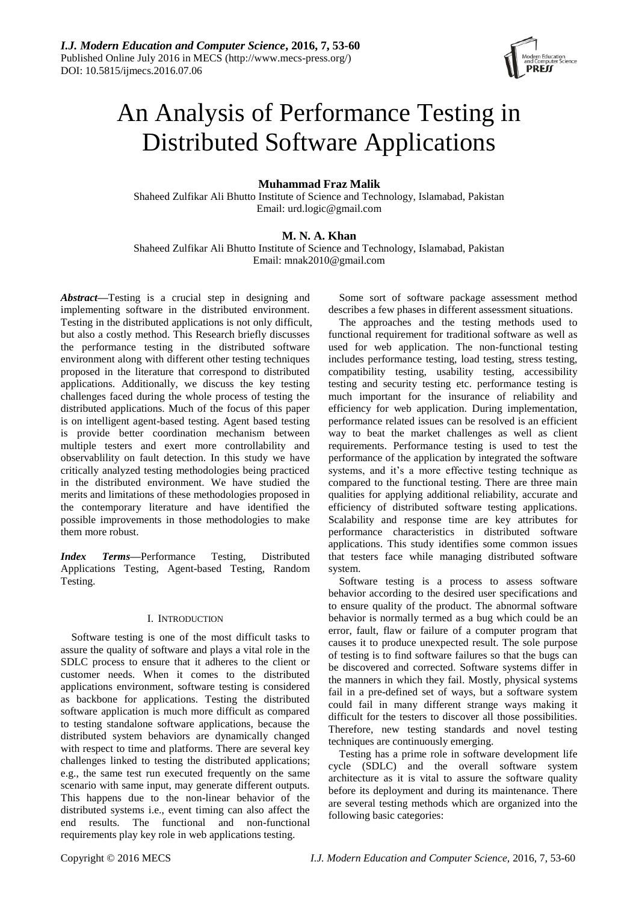

# An Analysis of Performance Testing in Distributed Software Applications

# **Muhammad Fraz Malik**

Shaheed Zulfikar Ali Bhutto Institute of Science and Technology, Islamabad, Pakistan Email: urd.logic@gmail.com

# **M. N. A. Khan**

Shaheed Zulfikar Ali Bhutto Institute of Science and Technology, Islamabad, Pakistan Email: [mnak2010@gmail.com](mailto:mnak2010@gmail.com)

*Abstract***—**Testing is a [crucial](https://www.google.com.pk/search?sa=X&espv=2&biw=1366&bih=667&q=define+crucial&ei=BSBSVcSVEISsswGglIDIBQ&ved=0CBwQ_SowAA) step in designing and implementing software in the distributed environment. Testing in the distributed applications is not only difficult, but also a costly method. This Research briefly discusses the performance testing in the distributed software environment along with different other testing techniques proposed in the literature that correspond to distributed applications. Additionally, we discuss the key testing challenges faced during the whole process of testing the distributed applications. Much of the focus of this paper is on intelligent agent-based testing. Agent based testing is provide better coordination mechanism between multiple testers and exert more controllability and observablility on fault detection. In this study we have critically analyzed testing methodologies being practiced in the distributed environment. We have studied the merits and limitations of these methodologies proposed in the contemporary literature and have identified the possible improvements in those methodologies to make them more robust.

*Index Terms***—**Performance Testing, Distributed Applications Testing, Agent-based Testing, Random Testing.

# I. INTRODUCTION

Software testing is one of the most difficult tasks to assure the quality of software and plays a vital role in the SDLC process to ensure that it adheres to the client or customer needs. When it comes to the distributed applications environment, software testing is considered as backbone for applications. Testing the distributed software application is much more difficult as compared to testing standalone software applications, because the distributed system behaviors are dynamically changed with respect to time and platforms. There are several key challenges linked to testing the distributed applications; e.g., the same test run executed [frequently](https://www.google.com.pk/search?es_sm=93&q=define+frequently&sa=X&ei=yzpWVaXEAsObsAHzioC4AQ&ved=0CB0Q_SowAA) on the same [scenario](https://www.google.com.pk/search?espv=2&biw=1366&bih=667&q=define+scenario&sa=X&ei=FztWVe-BGYePsgGMwoCQCw&ved=0CCsQ_SowAA) with same input, may generate different outputs. This happens due to the non-linear behavior of the distributed systems i.e., event timing can also affect the end results. The functional and non-functional requirements play key role in web applications testing.

Some sort of software package assessment method describes a few phases in different assessment situations.

The approaches and the testing methods used to functional requirement for traditional software as well as used for web application. The non-functional testing includes performance testing, load testing, stress testing, compatibility testing, usability testing, accessibility testing and security testing etc. performance testing is much important for the insurance of reliability and efficiency for web application. During implementation, performance related issues can be resolved is an efficient way to beat the market challenges as well as client requirements. Performance testing is used to test the performance of the application by integrated the software systems, and it's a more effective testing technique as compared to the functional testing. There are three main qualities for applying additional reliability, accurate and efficiency of distributed software testing applications. Scalability and response time are key attributes for performance characteristics in distributed software applications. This study identifies some common issues that testers face while managing distributed software system.

Software testing is a process to assess software behavior according to the desired user specifications and to ensure quality of the product. The abnormal software behavior is normally termed as a bug which could be an error, fault, flaw or failure of a computer program that causes it to produce unexpected result. The sole purpose of testing is to find software failures so that the bugs can be discovered and corrected. Software systems differ in the manners in which they fail. Mostly, physical systems fail in a pre-defined set of ways, but a software system could fail in many different strange ways making it difficult for the testers to discover all those possibilities. Therefore, new testing standards and novel testing techniques are continuously emerging.

Testing has a prime role in software development life cycle (SDLC) and the overall software system architecture as it is vital to assure the software quality before its deployment and during its maintenance. There are several testing methods which are organized into the following basic categories: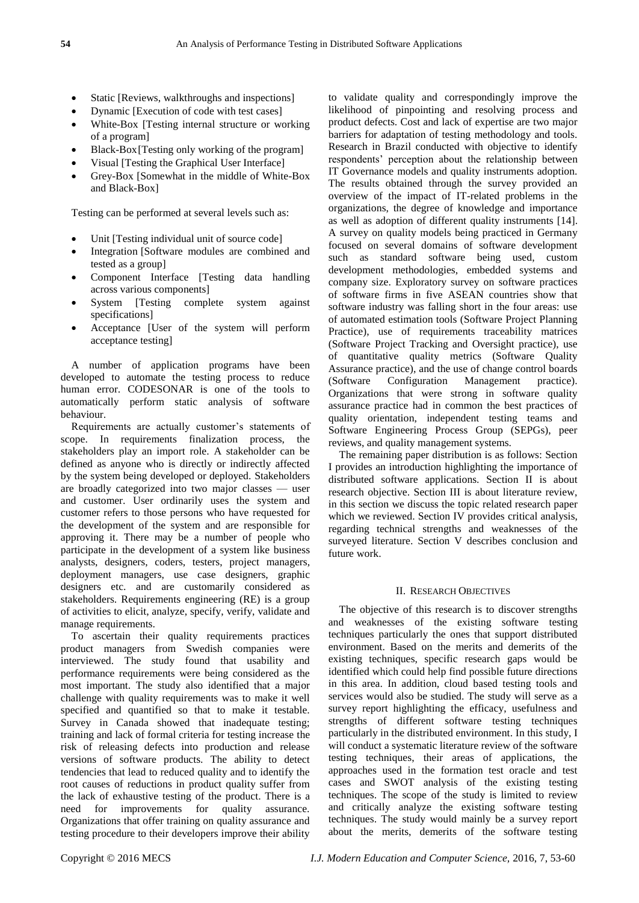- Static [Reviews, walkthroughs and inspections]
- Dynamic [Execution of code with test cases]
- White-Box [Testing internal structure or working of a program]
- Black-Box[Testing only working of the program]
- Visual [Testing the Graphical User Interface]
- Grey-Box [Somewhat in the middle of White-Box and Black-Box]

Testing can be performed at several levels such as:

- Unit [Testing individual unit of source code]
- Integration [Software modules are combined and tested as a group]
- Component Interface [Testing data handling across various components]
- System [Testing complete system against specifications]
- Acceptance [User of the system will perform acceptance testing]

A number of application programs have been developed to automate the testing process to reduce human error. CODESONAR is one of the tools to automatically perform static analysis of software behaviour.

Requirements are actually customer's statements of scope. In requirements finalization process, the stakeholders play an import role. A stakeholder can be defined as anyone who is directly or indirectly affected by the system being developed or deployed. Stakeholders are broadly categorized into two major classes — user and customer. User ordinarily uses the system and customer refers to those persons who have requested for the development of the system and are responsible for approving it. There may be a number of people who participate in the development of a system like business analysts, designers, coders, testers, project managers, deployment managers, use case designers, graphic designers etc. and are customarily considered as stakeholders. Requirements engineering (RE) is a group of activities to elicit, analyze, specify, verify, validate and manage requirements.

To ascertain their quality requirements practices product managers from Swedish companies were interviewed. The study found that usability and performance requirements were being considered as the most important. The study also identified that a major challenge with quality requirements was to make it well specified and quantified so that to make it testable. Survey in Canada showed that inadequate testing; training and lack of formal criteria for testing increase the risk of releasing defects into production and release versions of software products. The ability to detect tendencies that lead to reduced quality and to identify the root causes of reductions in product quality suffer from the lack of exhaustive testing of the product. There is a need for improvements for quality assurance. Organizations that offer training on quality assurance and testing procedure to their developers improve their ability

to validate quality and correspondingly improve the likelihood of pinpointing and resolving process and product defects. Cost and lack of expertise are two major barriers for adaptation of testing methodology and tools. Research in Brazil conducted with objective to identify respondents' perception about the relationship between IT Governance models and quality instruments adoption. The results obtained through the survey provided an overview of the impact of IT-related problems in the organizations, the degree of knowledge and importance as well as adoption of different quality instruments [14]. A survey on quality models being practiced in Germany focused on several domains of software development such as standard software being used, custom development methodologies, embedded systems and company size. Exploratory survey on software practices of software firms in five ASEAN countries show that software industry was falling short in the four areas: use of automated estimation tools (Software Project Planning Practice), use of requirements traceability matrices (Software Project Tracking and Oversight practice), use of quantitative quality metrics (Software Quality Assurance practice), and the use of change control boards (Software Configuration Management practice). Organizations that were strong in software quality assurance practice had in common the best practices of quality orientation, independent testing teams and Software Engineering Process Group (SEPGs), peer reviews, and quality management systems.

The remaining paper distribution is as follows: Section I provides an introduction highlighting the importance of distributed software applications. Section II is about research objective. Section III is about literature review, in this section we discuss the topic related research paper which we reviewed. Section IV provides critical analysis, regarding technical strengths and weaknesses of the surveyed literature. Section V describes conclusion and future work.

# II. RESEARCH OBJECTIVES

The objective of this research is to discover strengths and weaknesses of the existing software testing techniques particularly the ones that support distributed environment. Based on the merits and demerits of the existing techniques, specific research gaps would be identified which could help find possible future directions in this area. In addition, cloud based testing tools and services would also be studied. The study will serve as a survey report highlighting the efficacy, usefulness and strengths of different software testing techniques particularly in the distributed environment. In this study, I will conduct a systematic literature review of the software testing techniques, their areas of applications, the approaches used in the formation test oracle and test cases and SWOT analysis of the existing testing techniques. The scope of the study is limited to review and critically analyze the existing software testing techniques. The study would mainly be a survey report about the merits, demerits of the software testing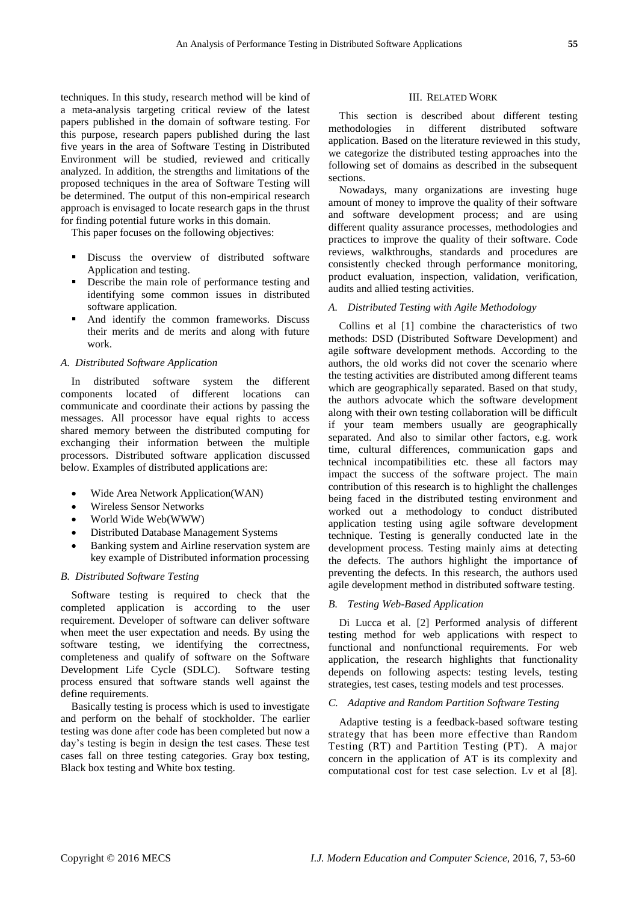techniques. In this study, research method will be kind of a meta-analysis targeting critical review of the latest papers published in the domain of software testing. For this purpose, research papers published during the last five years in the area of Software Testing in Distributed Environment will be studied, reviewed and critically analyzed. In addition, the strengths and limitations of the proposed techniques in the area of Software Testing will be determined. The output of this non-empirical research approach is envisaged to locate research gaps in the thrust for finding potential future works in this domain.

This paper focuses on the following objectives:

- **•** Discuss the overview of distributed software Application and testing.
- Describe the main role of performance testing and identifying some common issues in distributed software application.
- And identify the common frameworks. Discuss their merits and de merits and along with future work.

#### *A. Distributed Software Application*

In distributed software system the different components located of different locations can communicate and coordinate their actions by passing the messages. All processor have equal rights to access shared memory between the distributed computing for exchanging their information between the multiple processors. Distributed software application discussed below. Examples of distributed applications are:

- Wide Area Network Application(WAN)
- [Wireless Sensor Networks](http://en.wikipedia.org/wiki/Wireless_sensor_networks)
- [World Wide Web\(](http://en.wikipedia.org/wiki/World_wide_web)WWW)
- [Distributed Database Management Systems](http://en.wikipedia.org/wiki/Distributed_database_management_system)
- Banking system and Airline reservation system are key example of Distributed information processing

#### *B. Distributed Software Testing*

Software testing is required to check that the completed application is according to the user requirement. Developer of software can deliver software when meet the user expectation and needs. By using the software testing, we identifying the correctness, completeness and qualify of software on the Software Development Life Cycle (SDLC). Software testing process ensured that software stands well against the define requirements.

Basically testing is process which is used to investigate and perform on the behalf of stockholder. The earlier testing was done after code has been completed but now a day's testing is begin in design the test cases. These test cases fall on three testing categories. Gray box testing, Black box testing and White box testing.

#### III. RELATED WORK

This section is described about different testing methodologies in different distributed software application. Based on the literature reviewed in this study, we categorize the distributed testing approaches into the following set of domains as described in the subsequent sections.

Nowadays, many organizations are investing huge amount of money to improve the quality of their software and software development process; and are using different quality assurance processes, methodologies and practices to improve the quality of their software. Code reviews, walkthroughs, standards and procedures are consistently checked through performance monitoring, product evaluation, inspection, validation, verification, audits and allied testing activities.

# *A. Distributed Testing with Agile Methodology*

Collins et al [1] combine the characteristics of two methods: DSD (Distributed Software Development) and agile software development methods. According to the authors, the old works did not cover the scenario where the testing activities are distributed among different teams which are geographically separated. Based on that study, the authors advocate which the software development along with their own testing collaboration will be difficult if your team members usually are geographically separated. And also to similar other factors, e.g. work time, cultural differences, communication gaps and technical incompatibilities etc. these all factors may impact the success of the software project. The main contribution of this research is to highlight the challenges being faced in the distributed testing environment and worked out a methodology to conduct distributed application testing using agile software development technique. Testing is generally conducted late in the development process. Testing mainly aims at detecting the defects. The authors highlight the importance of preventing the defects. In this research, the authors used agile development method in distributed software testing.

#### *B. Testing Web-Based Application*

Di Lucca et al. [2] Performed analysis of different testing method for web applications with respect to functional and nonfunctional requirements. For web application, the research highlights that functionality depends on following aspects: testing levels, testing strategies, test cases, testing models and test processes.

# *C. Adaptive and Random Partition Software Testing*

Adaptive testing is a feedback-based software testing strategy that has been more effective than Random Testing (RT) and Partition Testing (PT). A major concern in the application of AT is its complexity and computational cost for test case selection. Lv et al [8].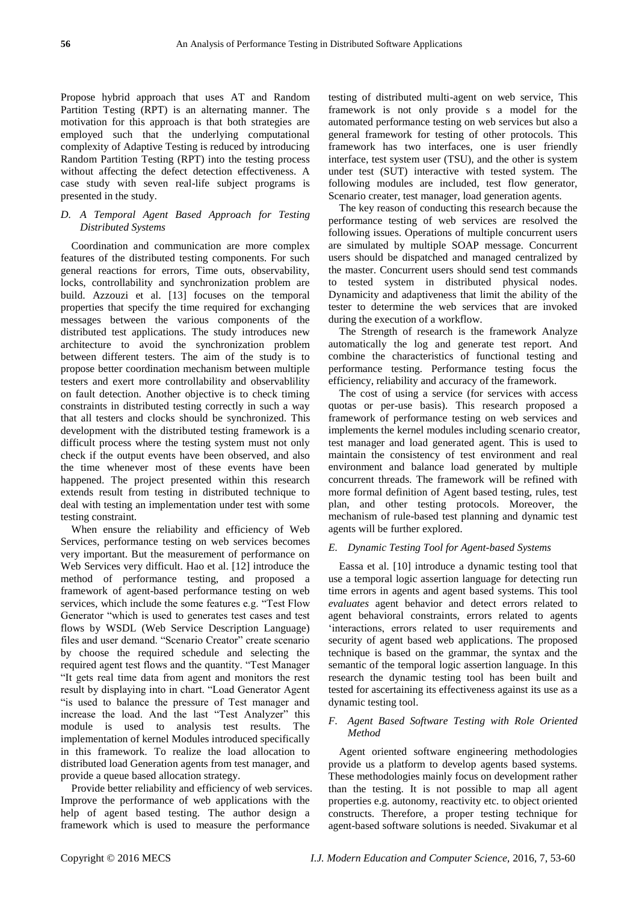Propose hybrid approach that uses AT and Random Partition Testing (RPT) is an alternating manner. The motivation for this approach is that both strategies are employed such that the underlying computational complexity of Adaptive Testing is reduced by introducing Random Partition Testing (RPT) into the testing process without affecting the defect detection effectiveness. A case study with seven real-life subject programs is presented in the study.

# *D. A Temporal Agent Based Approach for Testing Distributed Systems*

Coordination and communication are more complex features of the distributed testing components. For such general reactions for errors, Time outs, observability, locks, controllability and synchronization problem are build. Azzouzi et al. [13] focuses on the temporal properties that specify the time required for exchanging messages between the various components of the distributed test applications. The study introduces new architecture to avoid the synchronization problem between different testers. The aim of the study is to propose better coordination mechanism between multiple testers and exert more controllability and observablility on fault detection. Another objective is to check timing constraints in distributed testing correctly in such a way that all testers and clocks should be synchronized. This development with the distributed testing framework is a difficult process where the testing system must not only check if the output events have been observed, and also the time whenever most of these events have been happened. The project presented within this research extends result from testing in distributed technique to deal with testing an implementation under test with some testing constraint.

When ensure the reliability and efficiency of Web Services, performance testing on web services becomes very important. But the measurement of performance on Web Services very difficult. Hao et al. [12] introduce the method of performance testing, and proposed a framework of agent-based performance testing on web services, which include the some features e.g. "Test Flow Generator "which is used to generates test cases and test flows by WSDL (Web Service Description Language) files and user demand. "Scenario Creator" create scenario by choose the required schedule and selecting the required agent test flows and the quantity. "Test Manager" ―It gets real time data from agent and monitors the rest result by displaying into in chart. "Load Generator Agent "is used to balance the pressure of Test manager and increase the load. And the last "Test Analyzer" this module is used to analysis test results. The implementation of kernel Modules introduced specifically in this framework. To realize the load allocation to distributed load Generation agents from test manager, and provide a queue based allocation strategy.

Provide better reliability and efficiency of web services. Improve the performance of web applications with the help of agent based testing. The author design a framework which is used to measure the performance

testing of distributed multi-agent on web service, This framework is not only provide s a model for the automated performance testing on web services but also a general framework for testing of other protocols. This framework has two interfaces, one is user friendly interface, test system user (TSU), and the other is system under test (SUT) interactive with tested system. The following modules are included, test flow generator, Scenario creater, test manager, load generation agents.

The key reason of conducting this research because the performance testing of web services are resolved the following issues. Operations of multiple concurrent users are simulated by multiple SOAP message. Concurrent users should be dispatched and managed centralized by the master. Concurrent users should send test commands to tested system in distributed physical nodes. Dynamicity and adaptiveness that limit the ability of the tester to determine the web services that are invoked during the execution of a workflow.

The Strength of research is the framework Analyze automatically the log and generate test report. And combine the characteristics of functional testing and performance testing. Performance testing focus the efficiency, reliability and accuracy of the framework.

The cost of using a service (for services with access quotas or per-use basis). This research proposed a framework of performance testing on web services and implements the kernel modules including scenario creator, test manager and load generated agent. This is used to maintain the consistency of test environment and real environment and balance load generated by multiple concurrent threads. The framework will be refined with more formal definition of Agent based testing, rules, test plan, and other testing protocols. Moreover, the mechanism of rule-based test planning and dynamic test agents will be further explored.

# *E. Dynamic Testing Tool for Agent-based Systems*

Eassa et al. [10] introduce a dynamic testing tool that use a temporal logic assertion language for detecting run time errors in agents and agent based systems. This tool *evaluates* agent behavior and detect errors related to agent behavioral constraints, errors related to agents ‗interactions, errors related to user requirements and security of agent based web applications. The proposed technique is based on the grammar, the syntax and the semantic of the temporal logic assertion language. In this research the dynamic testing tool has been built and tested for ascertaining its effectiveness against its use as a dynamic testing tool.

# *F. Agent Based Software Testing with Role Oriented Method*

Agent oriented software engineering methodologies provide us a platform to develop agents based systems. These methodologies mainly focus on development rather than the testing. It is not possible to map all agent properties e.g. autonomy, reactivity etc. to object oriented constructs. Therefore, a proper testing technique for agent-based software solutions is needed. Sivakumar et al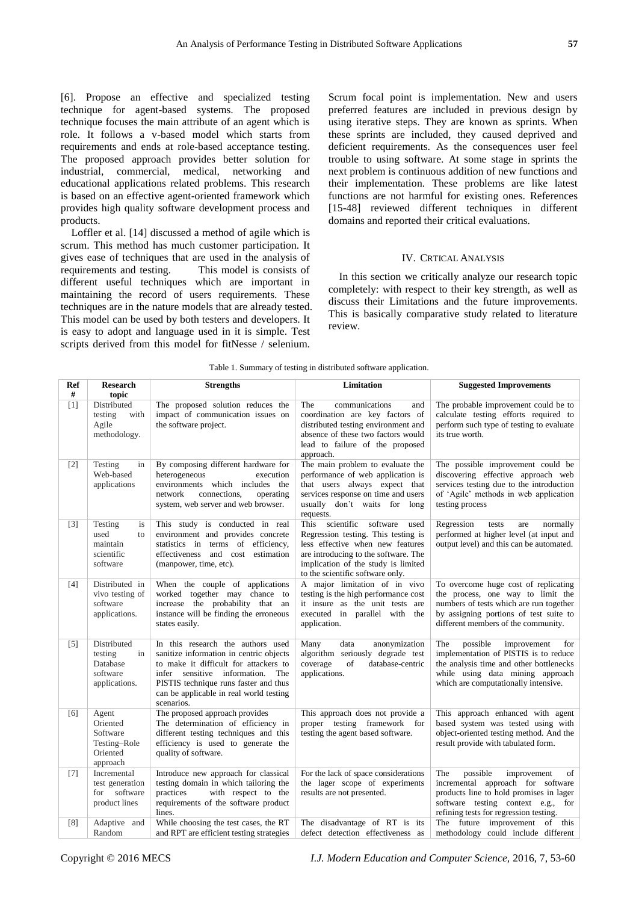[6]. Propose an effective and specialized testing technique for agent-based systems. The proposed technique focuses the main attribute of an agent which is role. It follows a v-based model which starts from requirements and ends at role-based acceptance testing. The proposed approach provides better solution for industrial, commercial, medical, networking and educational applications related problems. This research is based on an effective agent-oriented framework which provides high quality software development process and products.

Loffler et al. [14] discussed a method of agile which is scrum. This method has much customer participation. It gives ease of techniques that are used in the analysis of requirements and testing. This model is consists of different useful techniques which are important in maintaining the record of users requirements. These techniques are in the nature models that are already tested. This model can be used by both testers and developers. It is easy to adopt and language used in it is simple. Test scripts derived from this model for fitNesse / selenium.

Scrum focal point is implementation. New and users preferred features are included in previous design by using iterative steps. They are known as sprints. When these sprints are included, they caused deprived and deficient requirements. As the consequences user feel trouble to using software. At some stage in sprints the next problem is continuous addition of new functions and their implementation. These problems are like latest functions are not harmful for existing ones. References [15-48] reviewed different techniques in different domains and reported their critical evaluations.

## IV. CRTICAL ANALYSIS

In this section we critically analyze our research topic completely: with respect to their key strength, as well as discuss their Limitations and the future improvements. This is basically comparative study related to literature review.

| Ref<br>#          | <b>Research</b><br>topic                                              | <b>Strengths</b>                                                                                                                                                                                                                                               | Limitation                                                                                                                                                                                                                     | <b>Suggested Improvements</b>                                                                                                                                                                           |
|-------------------|-----------------------------------------------------------------------|----------------------------------------------------------------------------------------------------------------------------------------------------------------------------------------------------------------------------------------------------------------|--------------------------------------------------------------------------------------------------------------------------------------------------------------------------------------------------------------------------------|---------------------------------------------------------------------------------------------------------------------------------------------------------------------------------------------------------|
| [1]               | Distributed<br>testing<br>with<br>Agile<br>methodology.               | The proposed solution reduces the<br>impact of communication issues on<br>the software project.                                                                                                                                                                | The<br>communications<br>and<br>coordination are key factors of<br>distributed testing environment and<br>absence of these two factors would<br>lead to failure of the proposed<br>approach.                                   | The probable improvement could be to<br>calculate testing efforts required to<br>perform such type of testing to evaluate<br>its true worth.                                                            |
| $[2]$             | Testing<br>in<br>Web-based<br>applications                            | By composing different hardware for<br>heterogeneous<br>execution<br>environments which includes the<br>connections.<br>network<br>operating<br>system, web server and web browser.                                                                            | The main problem to evaluate the<br>performance of web application is<br>that users always expect that<br>services response on time and users<br>usually don't waits for long<br>requests.                                     | The possible improvement could be<br>discovering effective approach web<br>services testing due to the introduction<br>of 'Agile' methods in web application<br>testing process                         |
| $[3]$             | Testing<br>is<br>used<br>to<br>maintain<br>scientific<br>software     | This study is conducted in real<br>environment and provides concrete<br>statistics in terms of efficiency,<br>effectiveness and cost estimation<br>(manpower, time, etc).                                                                                      | This scientific software<br>used<br>Regression testing. This testing is<br>less effective when new features<br>are introducing to the software. The<br>implication of the study is limited<br>to the scientific software only. | Regression<br>tests<br>normally<br>are<br>performed at higher level (at input and<br>output level) and this can be automated.                                                                           |
| [4]               | Distributed in<br>vivo testing of<br>software<br>applications.        | When the couple of applications<br>worked together may chance to<br>increase the probability that an<br>instance will be finding the erroneous<br>states easily.                                                                                               | A major limitation of in vivo<br>testing is the high performance cost<br>it insure as the unit tests are<br>executed in parallel with<br>the<br>application.                                                                   | To overcome huge cost of replicating<br>the process, one way to limit the<br>numbers of tests which are run together<br>by assigning portions of test suite to<br>different members of the community.   |
| $\lceil 5 \rceil$ | Distributed<br>testing<br>in<br>Database<br>software<br>applications. | In this research the authors used<br>sanitize information in centric objects<br>to make it difficult for attackers to<br>infer sensitive information.<br>The<br>PISTIS technique runs faster and thus<br>can be applicable in real world testing<br>scenarios. | Many<br>data<br>anonymization<br>algorithm seriously degrade test<br>coverage<br>of<br>database-centric<br>applications.                                                                                                       | The<br>possible<br>improvement<br>for<br>implementation of PISTIS is to reduce<br>the analysis time and other bottlenecks<br>while using data mining approach<br>which are computationally intensive.   |
| [6]               | Agent<br>Oriented<br>Software<br>Testing-Role<br>Oriented<br>approach | The proposed approach provides<br>The determination of efficiency in<br>different testing techniques and this<br>efficiency is used to generate the<br>quality of software.                                                                                    | This approach does not provide a<br>proper testing framework for<br>testing the agent based software.                                                                                                                          | This approach enhanced with agent<br>based system was tested using with<br>object-oriented testing method. And the<br>result provide with tabulated form.                                               |
| $[7]$             | Incremental<br>test generation<br>for software<br>product lines       | Introduce new approach for classical<br>testing domain in which tailoring the<br>practices<br>with respect to the<br>requirements of the software product<br>lines.                                                                                            | For the lack of space considerations<br>the lager scope of experiments<br>results are not presented.                                                                                                                           | The<br>possible<br>improvement<br>of<br>incremental approach for software<br>products line to hold promises in lager<br>software testing context e.g.,<br>for<br>refining tests for regression testing. |
| [8]               | Adaptive<br>and<br>Random                                             | While choosing the test cases, the RT<br>and RPT are efficient testing strategies                                                                                                                                                                              | The disadvantage of RT is its<br>defect detection effectiveness as                                                                                                                                                             | The future improvement of this<br>methodology could include different                                                                                                                                   |

Table 1. Summary of testing in distributed software application.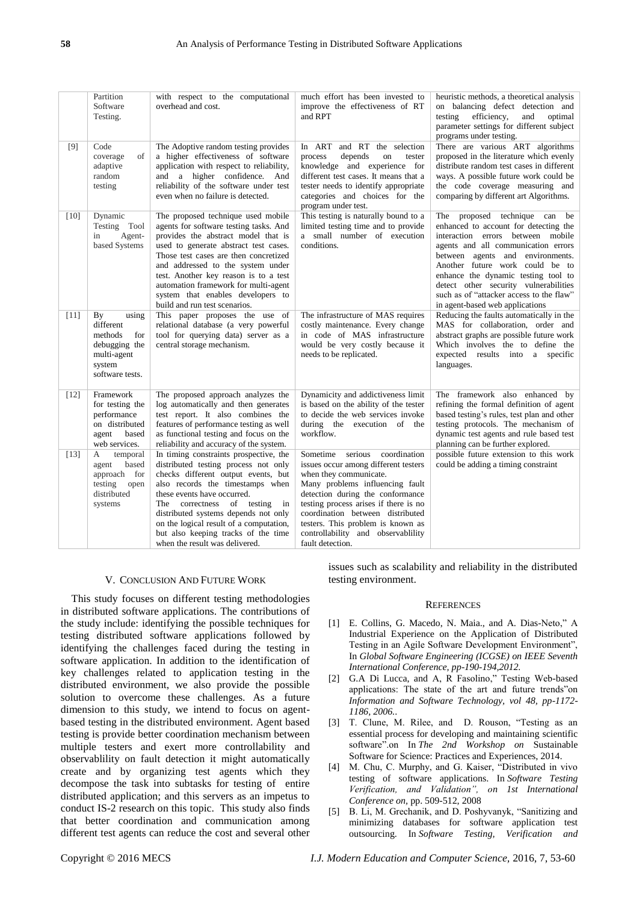|        | Partition<br>Software<br>Testing.                                                                       | with respect to the computational<br>overhead and cost.                                                                                                                                                                                                                                                                                                                                           | much effort has been invested to<br>improve the effectiveness of RT<br>and RPT                                                                                                                                                                                                                                                                           | heuristic methods, a theoretical analysis<br>on balancing defect detection and<br>testing<br>efficiency,<br>and<br>optimal<br>parameter settings for different subject<br>programs under testing.                                                                                                                                                                                        |
|--------|---------------------------------------------------------------------------------------------------------|---------------------------------------------------------------------------------------------------------------------------------------------------------------------------------------------------------------------------------------------------------------------------------------------------------------------------------------------------------------------------------------------------|----------------------------------------------------------------------------------------------------------------------------------------------------------------------------------------------------------------------------------------------------------------------------------------------------------------------------------------------------------|------------------------------------------------------------------------------------------------------------------------------------------------------------------------------------------------------------------------------------------------------------------------------------------------------------------------------------------------------------------------------------------|
| $[9]$  | Code<br>coverage<br>of<br>adaptive<br>random<br>testing                                                 | The Adoptive random testing provides<br>a higher effectiveness of software<br>application with respect to reliability,<br>and a higher confidence. And<br>reliability of the software under test<br>even when no failure is detected.                                                                                                                                                             | In ART and RT the selection<br>depends<br>process<br>on<br>tester<br>knowledge and experience for<br>different test cases. It means that a<br>tester needs to identify appropriate<br>categories and choices for the<br>program under test.                                                                                                              | There are various ART algorithms<br>proposed in the literature which evenly<br>distribute random test cases in different<br>ways. A possible future work could be<br>the code coverage measuring and<br>comparing by different art Algorithms.                                                                                                                                           |
| $[10]$ | Dynamic<br>Testing Tool<br>Agent-<br>in<br>based Systems                                                | The proposed technique used mobile<br>agents for software testing tasks. And<br>provides the abstract model that is<br>used to generate abstract test cases.<br>Those test cases are then concretized<br>and addressed to the system under<br>test. Another key reason is to a test<br>automation framework for multi-agent<br>system that enables developers to<br>build and run test scenarios. | This testing is naturally bound to a<br>limited testing time and to provide<br>a small number of execution<br>conditions.                                                                                                                                                                                                                                | The proposed technique can be<br>enhanced to account for detecting the<br>interaction errors between mobile<br>agents and all communication errors<br>between agents and environments.<br>Another future work could be to<br>enhance the dynamic testing tool to<br>detect other security vulnerabilities<br>such as of "attacker access to the flaw"<br>in agent-based web applications |
| $[11]$ | By<br>using<br>different<br>methods<br>for<br>debugging the<br>multi-agent<br>system<br>software tests. | This paper proposes the use of<br>relational database (a very powerful<br>tool for querying data) server as a<br>central storage mechanism.                                                                                                                                                                                                                                                       | The infrastructure of MAS requires<br>costly maintenance. Every change<br>in code of MAS infrastructure<br>would be very costly because it<br>needs to be replicated.                                                                                                                                                                                    | Reducing the faults automatically in the<br>MAS for collaboration, order and<br>abstract graphs are possible future work<br>Which involves the to define the<br>expected results into a specific<br>languages.                                                                                                                                                                           |
| $[12]$ | Framework<br>for testing the<br>performance<br>on distributed<br>based<br>agent<br>web services.        | The proposed approach analyzes the<br>log automatically and then generates<br>test report. It also combines the<br>features of performance testing as well<br>as functional testing and focus on the<br>reliability and accuracy of the system.                                                                                                                                                   | Dynamicity and addictiveness limit<br>is based on the ability of the tester<br>to decide the web services invoke<br>during the execution of the<br>workflow.                                                                                                                                                                                             | The framework also enhanced by<br>refining the formal definition of agent<br>based testing's rules, test plan and other<br>testing protocols. The mechanism of<br>dynamic test agents and rule based test<br>planning can be further explored.                                                                                                                                           |
| $[13]$ | A<br>temporal<br>agent<br>based<br>approach for<br>testing<br>open<br>distributed<br>systems            | In timing constraints prospective, the<br>distributed testing process not only<br>checks different output events, but<br>also records the timestamps when<br>these events have occurred.<br>The correctness of testing in<br>distributed systems depends not only<br>on the logical result of a computation,<br>but also keeping tracks of the time<br>when the result was delivered.             | serious<br>coordination<br>Sometime<br>issues occur among different testers<br>when they communicate.<br>Many problems influencing fault<br>detection during the conformance<br>testing process arises if there is no<br>coordination between distributed<br>testers. This problem is known as<br>controllability and observablility<br>fault detection. | possible future extension to this work<br>could be adding a timing constraint                                                                                                                                                                                                                                                                                                            |

## V. CONCLUSION AND FUTURE WORK

This study focuses on different testing methodologies in distributed software applications. The contributions of the study include: identifying the possible techniques for testing distributed software applications followed by identifying the challenges faced during the testing in software application. In addition to the identification of key challenges related to application testing in the distributed environment, we also provide the possible solution to overcome these challenges. As a future dimension to this study, we intend to focus on agentbased testing in the distributed environment. Agent based testing is provide better coordination mechanism between multiple testers and exert more controllability and observablility on fault detection it might automatically create and by organizing test agents which they decompose the task into subtasks for testing of entire distributed application; and this servers as an impetus to conduct IS-2 research on this topic. This study also finds that better coordination and communication among different test agents can reduce the cost and several other issues such as scalability and reliability in the distributed testing environment.

#### **REFERENCES**

- [1] E. Collins, G. Macedo, N. Maia., and A. Dias-Neto," A Industrial Experience on the Application of Distributed Testing in an Agile Software Development Environment", In *Global Software Engineering (ICGSE) on IEEE Seventh International Conference, pp-190-194,2012.*
- [2] G.A Di Lucca, and A, R Fasolino," Testing Web-based applications: The state of the art and future trends"on *Information and Software Technology, vol 48, pp-1172- 1186, 2006.*.
- [3] T. Clune, M. Rilee, and D. Rouson, "Testing as an essential process for developing and maintaining scientific software".on In The 2nd Workshop on Sustainable Software for Science: Practices and Experiences, 2014.
- [4] M. Chu, C. Murphy, and G. Kaiser, "Distributed in vivo testing of software applications. In *Software Testing Verification, and Validation", on 1st International Conference on,* pp. 509-512, 2008
- [5] B. Li, M. Grechanik, and D. Poshyvanyk, "Sanitizing and minimizing databases for software application test outsourcing. In *Software Testing, Verification and*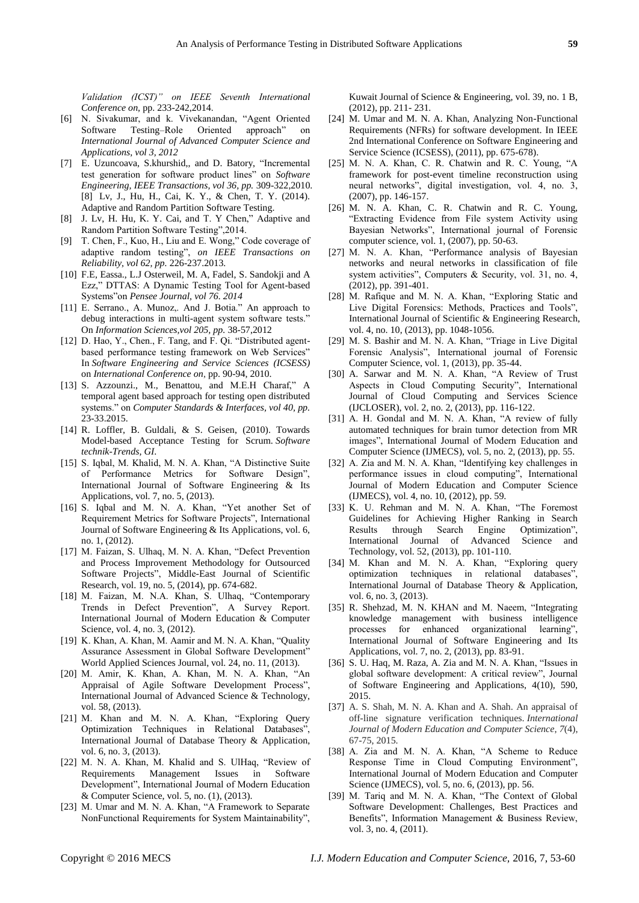*Validation (ICST)" on IEEE Seventh International Conference on,* pp. 233-242,2014.

- [6] N. Sivakumar, and k. Vivekanandan, "Agent Oriented Software Testing–Role Oriented approach" on *International Journal of Advanced Computer Science and Applications, vol 3, 2012*
- [7] E. Uzuncoava, S.khurshid,, and D. Batory, "Incremental test generation for software product lines" on *Software Engineering, IEEE Transactions, vol 36, pp.* 309-322,2010. [8] Lv, J., Hu, H., Cai, K. Y., & Chen, T. Y. (2014). Adaptive and Random Partition Software Testing.
- [8] J. Lv, H. Hu, K. Y. Cai, and T. Y Chen," Adaptive and Random Partition Software Testing", 2014.
- [9] T. Chen, F., Kuo, H., Liu and E. Wong," Code coverage of adaptive random testing", on IEEE Transactions on *Reliability, vol 62, pp.* 226-237.2013.
- [10] F.E, Eassa., L.J Osterweil, M. A, Fadel, S. Sandokji and A Ezz," DTTAS: A Dynamic Testing Tool for Agent-based Systems"on Pensee Journal, vol 76. 2014
- [11] E. Serrano., A. Munoz,. And J. Botia." An approach to debug interactions in multi-agent system software tests.' On *Information Sciences,vol 205, pp.* 38-57,2012
- [12] D. Hao, Y., Chen., F. Tang, and F. Qi. "Distributed agentbased performance testing framework on Web Services" In *Software Engineering and Service Sciences (ICSESS)* on *International Conference on*, pp. 90-94, 2010.
- [13] S. Azzounzi., M., Benattou, and M.E.H Charaf," A temporal agent based approach for testing open distributed systems.‖ on *Computer Standards & Interfaces, vol 40, pp.* 23-33.2015.
- [14] R. Loffler, B. Guldali, & S. Geisen, (2010). Towards Model-based Acceptance Testing for Scrum. *Software technik-Trends, GI*.
- [15] S. Iqbal, M. Khalid, M. N. A. Khan, "A Distinctive Suite of Performance Metrics for Software Design", International Journal of Software Engineering & Its Applications, vol. 7, no. 5, (2013).
- [16] S. Iqbal and M. N. A. Khan, "Yet another Set of Requirement Metrics for Software Projects", International Journal of Software Engineering & Its Applications, vol. 6, no. 1, (2012).
- [17] M. Faizan, S. Ulhaq, M. N. A. Khan, "Defect Prevention and Process Improvement Methodology for Outsourced Software Projects", Middle-East Journal of Scientific Research, vol. 19, no. 5, (2014), pp. 674-682.
- [18] M. Faizan, M. N.A. Khan, S. Ulhaq, "Contemporary Trends in Defect Prevention", A Survey Report. International Journal of Modern Education & Computer Science, vol. 4, no. 3, (2012).
- [19] K. Khan, A. Khan, M. Aamir and M. N. A. Khan, "Quality Assurance Assessment in Global Software Development" World Applied Sciences Journal, vol. 24, no. 11, (2013).
- [20] M. Amir, K. Khan, A. Khan, M. N. A. Khan, "An Appraisal of Agile Software Development Process", International Journal of Advanced Science & Technology, vol. 58, (2013).
- [21] M. Khan and M. N. A. Khan, "Exploring Query Optimization Techniques in Relational Databases", International Journal of Database Theory & Application, vol. 6, no. 3, (2013).
- [22] M. N. A. Khan, M. Khalid and S. UlHaq, "Review of Requirements Management Issues in Software Development", International Journal of Modern Education & Computer Science, vol. 5, no. (1), (2013).
- [23] M. Umar and M. N. A. Khan, "A Framework to Separate NonFunctional Requirements for System Maintainability",

Kuwait Journal of Science & Engineering, vol. 39, no. 1 B, (2012), pp. 211- 231.

- [24] M. Umar and M. N. A. Khan, Analyzing Non-Functional Requirements (NFRs) for software development. In IEEE 2nd International Conference on Software Engineering and Service Science (ICSESS), (2011), pp. 675-678).
- [25] M. N. A. Khan, C. R. Chatwin and R. C. Young, "A framework for post-event timeline reconstruction using neural networks", digital investigation, vol. 4, no. 3, (2007), pp. 146-157.
- [26] M. N. A. Khan, C. R. Chatwin and R. C. Young, ―Extracting Evidence from File system Activity using Bayesian Networks", International journal of Forensic computer science, vol. 1, (2007), pp. 50-63.
- [27] M. N. A. Khan, "Performance analysis of Bayesian networks and neural networks in classification of file system activities", Computers & Security, vol. 31, no. 4, (2012), pp. 391-401.
- [28] M. Rafique and M. N. A. Khan, "Exploring Static and Live Digital Forensics: Methods, Practices and Tools", International Journal of Scientific & Engineering Research, vol. 4, no. 10, (2013), pp. 1048-1056.
- [29] M. S. Bashir and M. N. A. Khan, "Triage in Live Digital Forensic Analysis", International journal of Forensic Computer Science, vol. 1, (2013), pp. 35-44.
- [30] A. Sarwar and M. N. A. Khan, "A Review of Trust Aspects in Cloud Computing Security", International Journal of Cloud Computing and Services Science (IJCLOSER), vol. 2, no. 2, (2013), pp. 116-122.
- [31] A. H. Gondal and M. N. A. Khan, "A review of fully automated techniques for brain tumor detection from MR images", International Journal of Modern Education and Computer Science (IJMECS), vol. 5, no. 2, (2013), pp. 55.
- [32] A. Zia and M. N. A. Khan, "Identifying key challenges in performance issues in cloud computing", International Journal of Modern Education and Computer Science (IJMECS), vol. 4, no. 10, (2012), pp. 59.
- [33] K. U. Rehman and M. N. A. Khan, "The Foremost Guidelines for Achieving Higher Ranking in Search Results through Search Engine Optimization International Journal of Advanced Science and Technology, vol. 52, (2013), pp. 101-110.
- [34] M. Khan and M. N. A. Khan, "Exploring query optimization techniques in relational databases", International Journal of Database Theory & Application, vol. 6, no. 3, (2013).
- [35] R. Shehzad, M. N. KHAN and M. Naeem, "Integrating knowledge management with business intelligence processes for enhanced organizational learning", International Journal of Software Engineering and Its Applications, vol. 7, no. 2, (2013), pp. 83-91.
- [36] S. U. Haq, M. Raza, A. Zia and M. N. A. Khan, "Issues in global software development: A critical review", Journal of Software Engineering and Applications, 4(10), 590, 2015.
- [37] A. S. Shah, M. N. A. Khan and A. Shah. An appraisal of off-line signature verification techniques. *International Journal of Modern Education and Computer Science*, *7*(4), 67-75, 2015.
- [38] A. Zia and M. N. A. Khan, "A Scheme to Reduce Response Time in Cloud Computing Environment", International Journal of Modern Education and Computer Science (IJMECS), vol. 5, no. 6, (2013), pp. 56.
- [39] M. Tariq and M. N. A. Khan, "The Context of Global Software Development: Challenges, Best Practices and Benefits", Information Management & Business Review, vol. 3, no. 4, (2011).